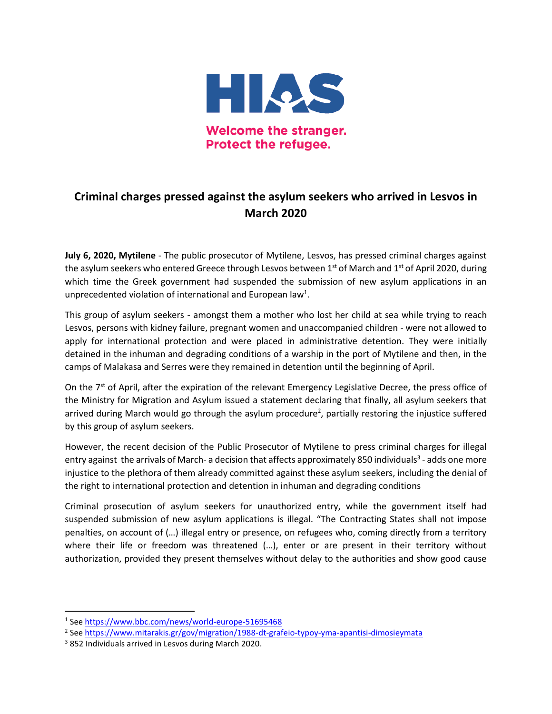

## **Criminal charges pressed against the asylum seekers who arrived in Lesvos in March 2020**

**July 6, 2020, Mytilene** - The public prosecutor of Mytilene, Lesvos, has pressed criminal charges against the asylum seekers who entered Greece through Lesvos between  $1<sup>st</sup>$  of March and  $1<sup>st</sup>$  of April 2020, during which time the Greek government had suspended the submission of new asylum applications in an unprecedented violation of international and European law<sup>1</sup>.

This group of asylum seekers - amongst them a mother who lost her child at sea while trying to reach Lesvos, persons with kidney failure, pregnant women and unaccompanied children - were not allowed to apply for international protection and were placed in administrative detention. They were initially detained in the inhuman and degrading conditions of a warship in the port of Mytilene and then, in the camps of Malakasa and Serres were they remained in detention until the beginning of April.

On the 7<sup>st</sup> of April, after the expiration of the relevant Emergency Legislative Decree, the press office of the Ministry for Migration and Asylum issued a statement declaring that finally, all asylum seekers that arrived during March would go through the asylum procedure<sup>2</sup>, partially restoring the injustice suffered by this group of asylum seekers.

However, the recent decision of the Public Prosecutor of Mytilene to press criminal charges for illegal entry against the arrivals of March- a decision that affects approximately 850 individuals<sup>3</sup> - adds one more injustice to the plethora of them already committed against these asylum seekers, including the denial of the right to international protection and detention in inhuman and degrading conditions

Criminal prosecution of asylum seekers for unauthorized entry, while the government itself had suspended submission of new asylum applications is illegal. "The Contracting States shall not impose penalties, on account of (…) illegal entry or presence, on refugees who, coming directly from a territory where their life or freedom was threatened (...), enter or are present in their territory without authorization, provided they present themselves without delay to the authorities and show good cause

 $\overline{a}$ 

<sup>&</sup>lt;sup>1</sup> See<https://www.bbc.com/news/world-europe-51695468>

<sup>&</sup>lt;sup>2</sup> See <u>https://www.mitarakis.gr/gov/migration/1988-dt-grafeio-typoy-yma-apantisi-dimosieymata</u>

<sup>3</sup> 852 Individuals arrived in Lesvos during March 2020.